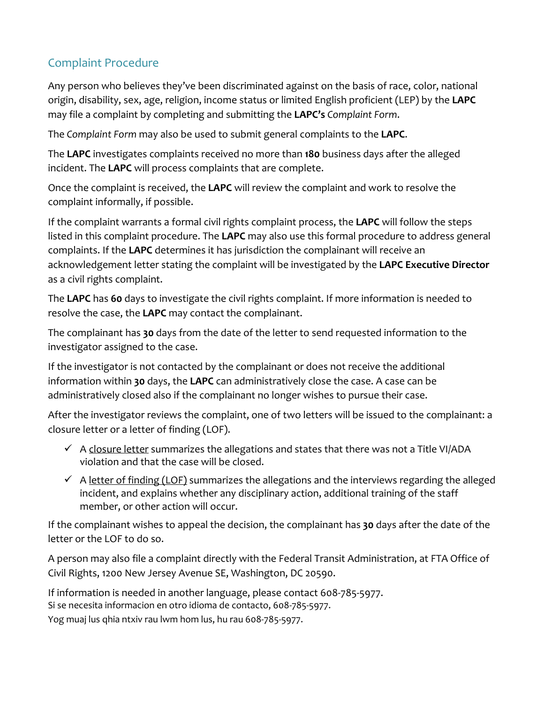# Complaint Procedure

Any person who believes they've been discriminated against on the basis of race, color, national origin, disability, sex, age, religion, income status or limited English proficient (LEP) by the **LAPC**  may file a complaint by completing and submitting the **LAPC's** *Complaint Form*.

The *Complaint Form* may also be used to submit general complaints to the **LAPC**.

The **LAPC** investigates complaints received no more than **180** business days after the alleged incident. The **LAPC** will process complaints that are complete.

Once the complaint is received, the **LAPC** will review the complaint and work to resolve the complaint informally, if possible.

If the complaint warrants a formal civil rights complaint process, the **LAPC** will follow the steps listed in this complaint procedure. The **LAPC** may also use this formal procedure to address general complaints. If the **LAPC** determines it has jurisdiction the complainant will receive an acknowledgement letter stating the complaint will be investigated by the **LAPC Executive Director**  as a civil rights complaint.

The **LAPC** has **60** days to investigate the civil rights complaint. If more information is needed to resolve the case, the **LAPC** may contact the complainant.

The complainant has **30** days from the date of the letter to send requested information to the investigator assigned to the case.

If the investigator is not contacted by the complainant or does not receive the additional information within **30** days, the **LAPC** can administratively close the case. A case can be administratively closed also if the complainant no longer wishes to pursue their case.

After the investigator reviews the complaint, one of two letters will be issued to the complainant: a closure letter or a letter of finding (LOF).

- $\checkmark$  A closure letter summarizes the allegations and states that there was not a Title VI/ADA violation and that the case will be closed.
- $\checkmark$  A letter of finding (LOF) summarizes the allegations and the interviews regarding the alleged incident, and explains whether any disciplinary action, additional training of the staff member, or other action will occur.

If the complainant wishes to appeal the decision, the complainant has **30** days after the date of the letter or the LOF to do so.

A person may also file a complaint directly with the Federal Transit Administration, at FTA Office of Civil Rights, 1200 New Jersey Avenue SE, Washington, DC 20590.

If information is needed in another language, please contact 608-785-5977. Si se necesita informacion en otro idioma de contacto, 608-785-5977.

Yog muaj lus qhia ntxiv rau lwm hom lus, hu rau 608-785-5977.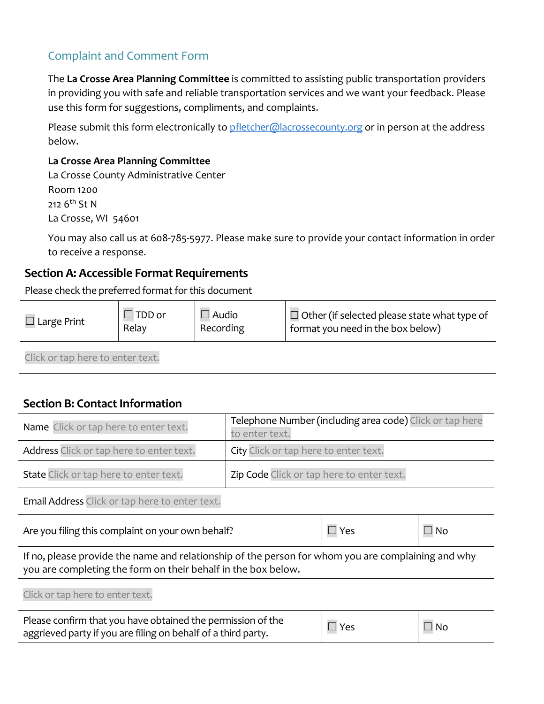# Complaint and Comment Form

The **La Crosse Area Planning Committee** is committed to assisting public transportation providers in providing you with safe and reliable transportation services and we want your feedback. Please use this form for suggestions, compliments, and complaints.

Please submit this form electronically t[o pfletcher@lacrossecounty.org](mailto:pfletcher@lacrossecounty.org) or in person at the address below.

#### **La Crosse Area Planning Committee**

La Crosse County Administrative Center Room 1200

212 6<sup>th</sup> St N

La Crosse, WI 54601

You may also call us at 608-785-5977. Please make sure to provide your contact information in order to receive a response.

### **Section A: Accessible Format Requirements**

Please check the preferred format for this document

| $\Box$ Large Print | $\Box$ TDD or | $\Box$ Audio | $\Box$ Other (if selected please state what type of |
|--------------------|---------------|--------------|-----------------------------------------------------|
|                    | Relay         | Recording    | format you need in the box below)                   |
|                    |               |              |                                                     |

Click or tap here to enter text.

### **Section B: Contact Information**

| Name Click or tap here to enter text.                                                                                                                               | Telephone Number (including area code) Click or tap here<br>to enter text. |              |    |  |
|---------------------------------------------------------------------------------------------------------------------------------------------------------------------|----------------------------------------------------------------------------|--------------|----|--|
| Address Click or tap here to enter text.                                                                                                                            | City Click or tap here to enter text.                                      |              |    |  |
| State Click or tap here to enter text.                                                                                                                              | Zip Code Click or tap here to enter text.                                  |              |    |  |
| Email Address Click or tap here to enter text.                                                                                                                      |                                                                            |              |    |  |
| Are you filing this complaint on your own behalf?                                                                                                                   | $\Box$ Yes                                                                 | $\square$ No |    |  |
| If no, please provide the name and relationship of the person for whom you are complaining and why<br>you are completing the form on their behalf in the box below. |                                                                            |              |    |  |
| Click or tap here to enter text.                                                                                                                                    |                                                                            |              |    |  |
| Please confirm that you have obtained the permission of the<br>aggrieved party if you are filing on behalf of a third party.                                        |                                                                            | Yes          | No |  |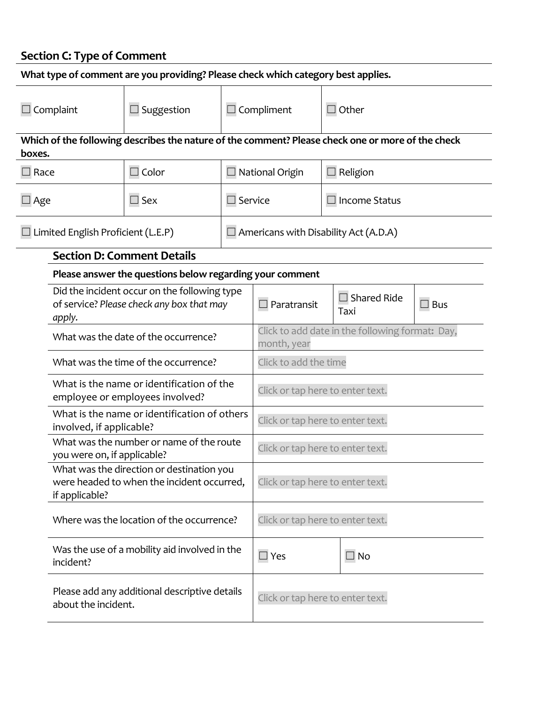#### **Section C: Type of Comment**

| What type of comment are you providing? Please check which category best applies. |                                                                                                           |                                                                                                   |                                  |                                                                |                            |                      |  |
|-----------------------------------------------------------------------------------|-----------------------------------------------------------------------------------------------------------|---------------------------------------------------------------------------------------------------|----------------------------------|----------------------------------------------------------------|----------------------------|----------------------|--|
| $\Box$ Suggestion<br>Complaint                                                    |                                                                                                           | $\Box$ Compliment                                                                                 |                                  | $\Box$ Other                                                   |                            |                      |  |
| boxes.                                                                            |                                                                                                           | Which of the following describes the nature of the comment? Please check one or more of the check |                                  |                                                                |                            |                      |  |
| $\Box$ Color<br>$\Box$ Race                                                       |                                                                                                           | $\Box$ National Origin                                                                            | Religion                         |                                                                |                            |                      |  |
|                                                                                   | $\square$ Sex<br>$\Box$ Age                                                                               |                                                                                                   |                                  | $\square$ Service                                              |                            | <b>Income Status</b> |  |
| Limited English Proficient (L.E.P)                                                |                                                                                                           | $\Box$ Americans with Disability Act (A.D.A)                                                      |                                  |                                                                |                            |                      |  |
|                                                                                   |                                                                                                           | <b>Section D: Comment Details</b>                                                                 |                                  |                                                                |                            |                      |  |
|                                                                                   |                                                                                                           | Please answer the questions below regarding your comment                                          |                                  |                                                                |                            |                      |  |
|                                                                                   | Did the incident occur on the following type<br>of service? Please check any box that may<br>apply.       |                                                                                                   | $\Box$ Paratransit               |                                                                | $\Box$ Shared Ride<br>Taxi | $\square$ Bus        |  |
|                                                                                   | What was the date of the occurrence?                                                                      |                                                                                                   |                                  | Click to add date in the following format: Day,<br>month, year |                            |                      |  |
|                                                                                   | What was the time of the occurrence?                                                                      |                                                                                                   |                                  | Click to add the time                                          |                            |                      |  |
|                                                                                   | What is the name or identification of the<br>employee or employees involved?                              |                                                                                                   |                                  | Click or tap here to enter text.                               |                            |                      |  |
|                                                                                   | What is the name or identification of others<br>involved, if applicable?                                  |                                                                                                   |                                  | Click or tap here to enter text.                               |                            |                      |  |
|                                                                                   | What was the number or name of the route<br>you were on, if applicable?                                   |                                                                                                   |                                  | Click or tap here to enter text.                               |                            |                      |  |
|                                                                                   | What was the direction or destination you<br>were headed to when the incident occurred,<br>if applicable? |                                                                                                   |                                  | Click or tap here to enter text.                               |                            |                      |  |
|                                                                                   | Where was the location of the occurrence?                                                                 |                                                                                                   |                                  | Click or tap here to enter text.                               |                            |                      |  |
|                                                                                   | Was the use of a mobility aid involved in the<br>incident?                                                |                                                                                                   | $\Box$ Yes                       |                                                                | $\Box$ No                  |                      |  |
|                                                                                   | Please add any additional descriptive details<br>about the incident.                                      |                                                                                                   | Click or tap here to enter text. |                                                                |                            |                      |  |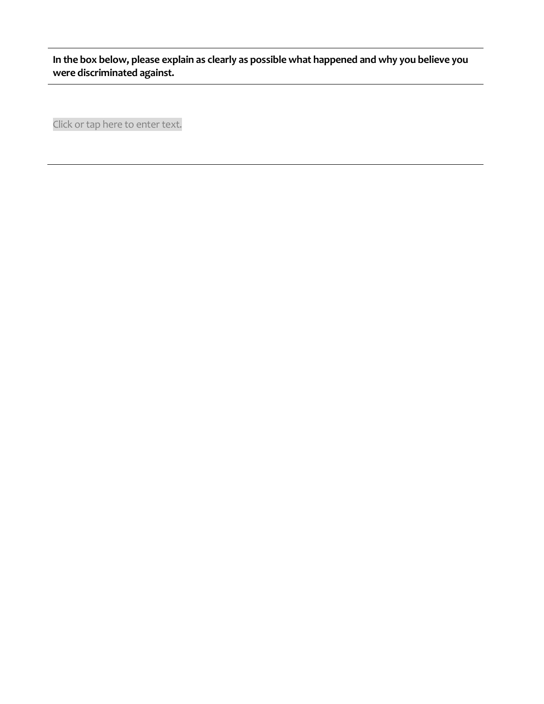**In the box below, please explain as clearly as possible what happened and why you believe you were discriminated against.**

Click or tap here to enter text.